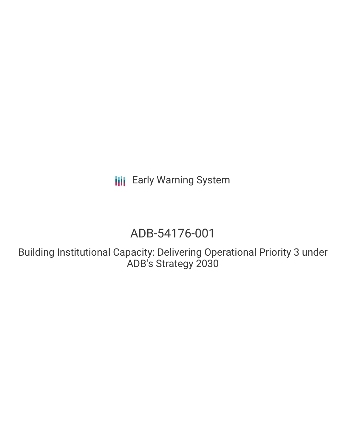**III** Early Warning System

# ADB-54176-001

Building Institutional Capacity: Delivering Operational Priority 3 under ADB's Strategy 2030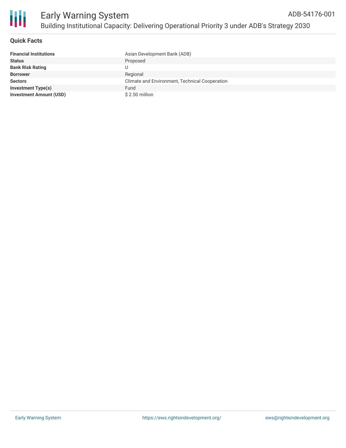

## **Quick Facts**

| <b>Financial Institutions</b>  | Asian Development Bank (ADB)                   |
|--------------------------------|------------------------------------------------|
| <b>Status</b>                  | Proposed                                       |
| <b>Bank Risk Rating</b>        |                                                |
| <b>Borrower</b>                | Regional                                       |
| <b>Sectors</b>                 | Climate and Environment, Technical Cooperation |
| <b>Investment Type(s)</b>      | Fund                                           |
| <b>Investment Amount (USD)</b> | \$2.50 million                                 |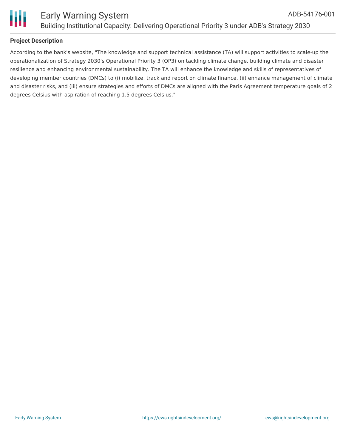

# **Project Description**

According to the bank's website, "The knowledge and support technical assistance (TA) will support activities to scale-up the operationalization of Strategy 2030's Operational Priority 3 (OP3) on tackling climate change, building climate and disaster resilience and enhancing environmental sustainability. The TA will enhance the knowledge and skills of representatives of developing member countries (DMCs) to (i) mobilize, track and report on climate finance, (ii) enhance management of climate and disaster risks, and (iii) ensure strategies and efforts of DMCs are aligned with the Paris Agreement temperature goals of 2 degrees Celsius with aspiration of reaching 1.5 degrees Celsius."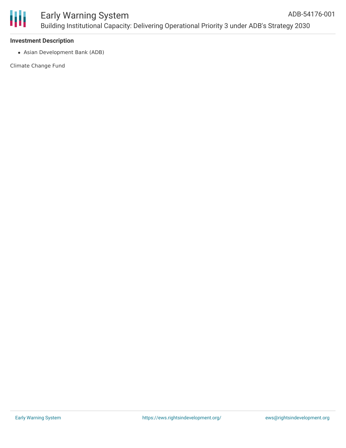

#### **Investment Description**

Asian Development Bank (ADB)

Climate Change Fund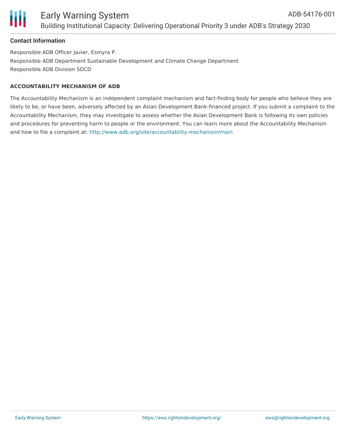## **Contact Information**

Responsible ADB Officer Javier, Esmyra P. Responsible ADB Department Sustainable Development and Climate Change Department Responsible ADB Division SDCD

#### **ACCOUNTABILITY MECHANISM OF ADB**

The Accountability Mechanism is an independent complaint mechanism and fact-finding body for people who believe they are likely to be, or have been, adversely affected by an Asian Development Bank-financed project. If you submit a complaint to the Accountability Mechanism, they may investigate to assess whether the Asian Development Bank is following its own policies and procedures for preventing harm to people or the environment. You can learn more about the Accountability Mechanism and how to file a complaint at: <http://www.adb.org/site/accountability-mechanism/main>